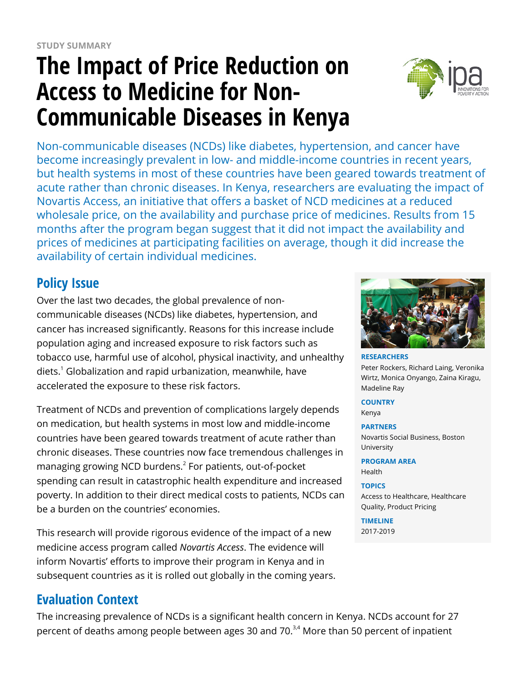# **The Impact of Price Reduction on Access to Medicine for Non-Communicable Diseases in Kenya**



Non-communicable diseases (NCDs) like diabetes, hypertension, and cancer have become increasingly prevalent in low- and middle-income countries in recent years, but health systems in most of these countries have been geared towards treatment of acute rather than chronic diseases. In Kenya, researchers are evaluating the impact of Novartis Access, an initiative that offers a basket of NCD medicines at a reduced wholesale price, on the availability and purchase price of medicines. Results from 15 months after the program began suggest that it did not impact the availability and prices of medicines at participating facilities on average, though it did increase the availability of certain individual medicines.

# **Policy Issue**

Over the last two decades, the global prevalence of noncommunicable diseases (NCDs) like diabetes, hypertension, and cancer has increased significantly. Reasons for this increase include population aging and increased exposure to risk factors such as tobacco use, harmful use of alcohol, physical inactivity, and unhealthy diets.<sup>1</sup> Globalization and rapid urbanization, meanwhile, have accelerated the exposure to these risk factors.

Treatment of NCDs and prevention of complications largely depends on medication, but health systems in most low and middle-income countries have been geared towards treatment of acute rather than chronic diseases. These countries now face tremendous challenges in managing growing NCD burdens.<sup>2</sup> For patients, out-of-pocket spending can result in catastrophic health expenditure and increased poverty. In addition to their direct medical costs to patients, NCDs can be a burden on the countries' economies.

This research will provide rigorous evidence of the impact of a new medicine access program called *Novartis Access*. The evidence will inform Novartis' efforts to improve their program in Kenya and in subsequent countries as it is rolled out globally in the coming years.

# **Evaluation Context**

The increasing prevalence of NCDs is a significant health concern in Kenya. NCDs account for 27 percent of deaths among people between ages 30 and 70.<sup>3,4</sup> More than 50 percent of inpatient



**RESEARCHERS** Peter Rockers, Richard Laing, Veronika Wirtz, Monica Onyango, Zaina Kiragu, Madeline Ray

**COUNTRY** Kenya

**PARTNERS** Novartis Social Business, Boston University

**PROGRAM AREA** Health

#### **TOPICS**

Access to Healthcare, Healthcare Quality, Product Pricing

**TIMELINE** 2017-2019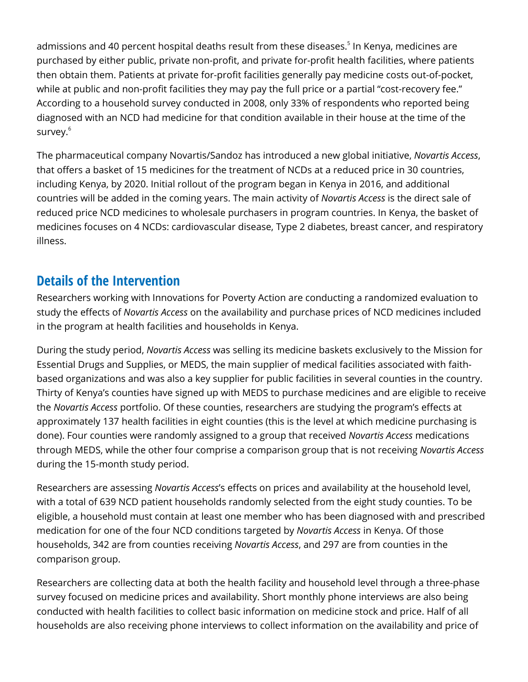admissions and 40 percent hospital deaths result from these diseases.<sup>5</sup> In Kenya, medicines are purchased by either public, private non-profit, and private for-profit health facilities, where patients then obtain them. Patients at private for-profit facilities generally pay medicine costs out-of-pocket, while at public and non-profit facilities they may pay the full price or a partial "cost-recovery fee." According to a household survey conducted in 2008, only 33% of respondents who reported being diagnosed with an NCD had medicine for that condition available in their house at the time of the survey.<sup>6</sup>

The pharmaceutical company Novartis/Sandoz has introduced a new global initiative, *Novartis Access*, that offers a basket of 15 medicines for the treatment of NCDs at a reduced price in 30 countries, including Kenya, by 2020. Initial rollout of the program began in Kenya in 2016, and additional countries will be added in the coming years. The main activity of *Novartis Access* is the direct sale of reduced price NCD medicines to wholesale purchasers in program countries. In Kenya, the basket of medicines focuses on 4 NCDs: cardiovascular disease, Type 2 diabetes, breast cancer, and respiratory illness.

#### **Details of the Intervention**

Researchers working with Innovations for Poverty Action are conducting a randomized evaluation to study the effects of *Novartis Access* on the availability and purchase prices of NCD medicines included in the program at health facilities and households in Kenya.

During the study period, *Novartis Access* was selling its medicine baskets exclusively to the Mission for Essential Drugs and Supplies, or MEDS, the main supplier of medical facilities associated with faithbased organizations and was also a key supplier for public facilities in several counties in the country. Thirty of Kenya's counties have signed up with MEDS to purchase medicines and are eligible to receive the *Novartis Access* portfolio. Of these counties, researchers are studying the program's effects at approximately 137 health facilities in eight counties (this is the level at which medicine purchasing is done). Four counties were randomly assigned to a group that received *Novartis Access* medications through MEDS, while the other four comprise a comparison group that is not receiving *Novartis Access* during the 15-month study period.

Researchers are assessing *Novartis Access*'s effects on prices and availability at the household level, with a total of 639 NCD patient households randomly selected from the eight study counties. To be eligible, a household must contain at least one member who has been diagnosed with and prescribed medication for one of the four NCD conditions targeted by *Novartis Access* in Kenya. Of those households, 342 are from counties receiving *Novartis Access*, and 297 are from counties in the comparison group.

Researchers are collecting data at both the health facility and household level through a three-phase survey focused on medicine prices and availability. Short monthly phone interviews are also being conducted with health facilities to collect basic information on medicine stock and price. Half of all households are also receiving phone interviews to collect information on the availability and price of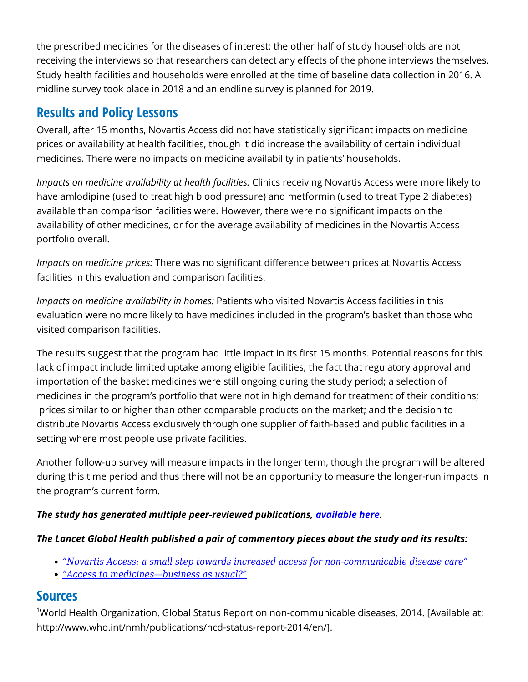the prescribed medicines for the diseases of interest; the other half of study households are not receiving the interviews so that researchers can detect any effects of the phone interviews themselves. Study health facilities and households were enrolled at the time of baseline data collection in 2016. A midline survey took place in 2018 and an endline survey is planned for 2019.

### **Results and Policy Lessons**

Overall, after 15 months, Novartis Access did not have statistically significant impacts on medicine prices or availability at health facilities, though it did increase the availability of certain individual medicines. There were no impacts on medicine availability in patients' households.

*Impacts on medicine availability at health facilities:* Clinics receiving Novartis Access were more likely to have amlodipine (used to treat high blood pressure) and metformin (used to treat Type 2 diabetes) available than comparison facilities were. However, there were no significant impacts on the availability of other medicines, or for the average availability of medicines in the Novartis Access portfolio overall.

*Impacts on medicine prices:* There was no significant difference between prices at Novartis Access facilities in this evaluation and comparison facilities.

*Impacts on medicine availability in homes:* Patients who visited Novartis Access facilities in this evaluation were no more likely to have medicines included in the program's basket than those who visited comparison facilities.

The results suggest that the program had little impact in its first 15 months. Potential reasons for this lack of impact include limited uptake among eligible facilities; the fact that regulatory approval and importation of the basket medicines were still ongoing during the study period; a selection of medicines in the program's portfolio that were not in high demand for treatment of their conditions; prices similar to or higher than other comparable products on the market; and the decision to distribute Novartis Access exclusively through one supplier of faith-based and public facilities in a setting where most people use private facilities.

Another follow-up survey will measure impacts in the longer term, though the program will be altered during this time period and thus there will not be an opportunity to measure the longer-run impacts in the program's current form.

#### *The study has generated multiple peer-reviewed publications, [available here](http://sites.bu.edu/evaluatingaccess-novartisaccess/publications/).*

#### *The Lancet Global Health published a pair of commentary pieces about the study and its results:*

- *["Novartis Access: a small step towards increased access for non-communicable disease care"](https://www.thelancet.com/journals/langlo/article/PIIS2214-109X(19)30049-X/fulltext)*
- *["Access to medicines—business as usual?"](https://www.thelancet.com/pdfs/journals/langlo/PIIS2214-109X(19)30052-X.pdf)*

#### **Sources**

<sup>1</sup>World Health Organization. Global Status Report on non-communicable diseases. 2014. [Available at: http://www.who.int/nmh/publications/ncd-status-report-2014/en/].